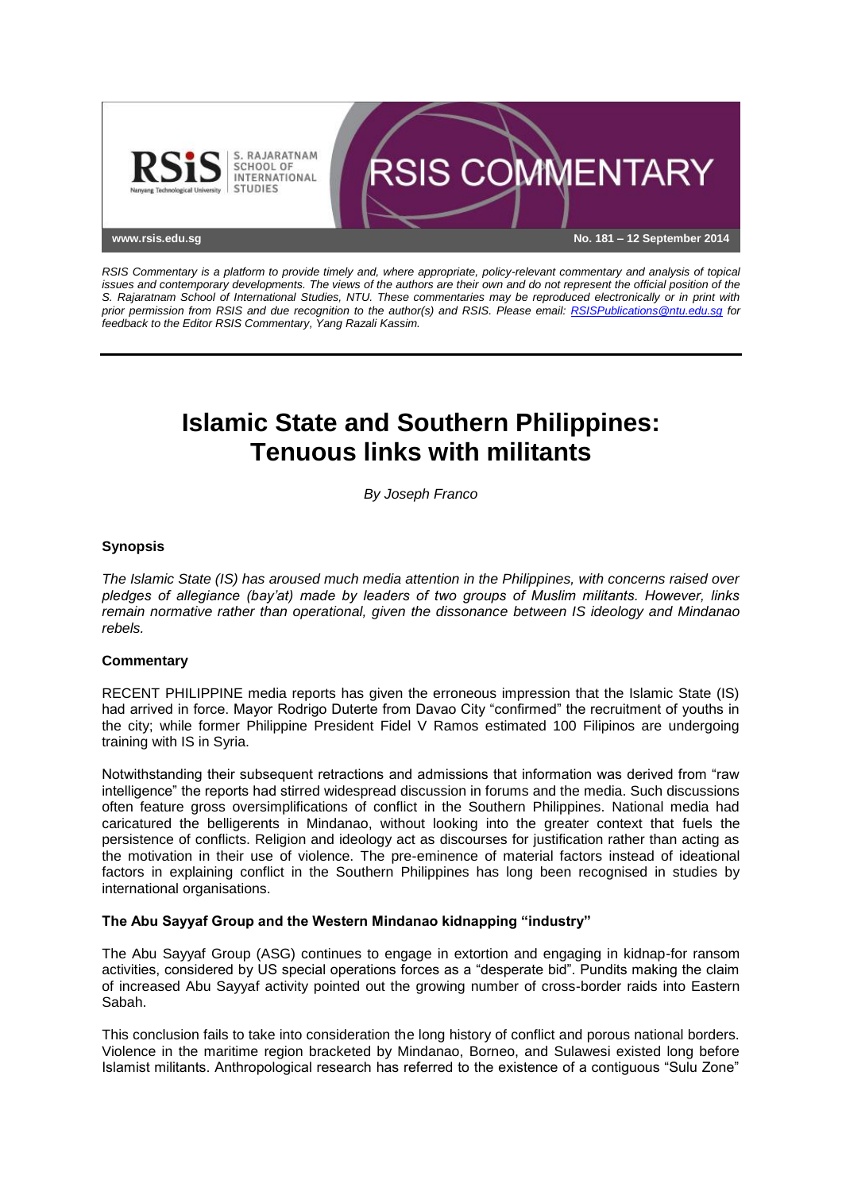

*RSIS Commentary is a platform to provide timely and, where appropriate, policy-relevant commentary and analysis of topical issues and contemporary developments. The views of the authors are their own and do not represent the official position of the S. Rajaratnam School of International Studies, NTU. These commentaries may be reproduced electronically or in print with prior permission from RSIS and due recognition to the author(s) and RSIS. Please email: [RSISPublications@ntu.edu.sg](mailto:RSISPublications@ntu.edu.sg) for feedback to the Editor RSIS Commentary, Yang Razali Kassim.*

# **Islamic State and Southern Philippines: Tenuous links with militants**

*By Joseph Franco*

## **Synopsis**

*The Islamic State (IS) has aroused much media attention in the Philippines, with concerns raised over pledges of allegiance (bay'at) made by leaders of two groups of Muslim militants. However, links remain normative rather than operational, given the dissonance between IS ideology and Mindanao rebels.*

### **Commentary**

RECENT PHILIPPINE media reports has given the erroneous impression that the Islamic State (IS) had arrived in force. Mayor Rodrigo Duterte from Davao City "confirmed" the recruitment of youths in the city; while former Philippine President Fidel V Ramos estimated 100 Filipinos are undergoing training with IS in Syria.

Notwithstanding their subsequent retractions and admissions that information was derived from "raw intelligence" the reports had stirred widespread discussion in forums and the media. Such discussions often feature gross oversimplifications of conflict in the Southern Philippines. National media had caricatured the belligerents in Mindanao, without looking into the greater context that fuels the persistence of conflicts. Religion and ideology act as discourses for justification rather than acting as the motivation in their use of violence. The pre-eminence of material factors instead of ideational factors in explaining conflict in the Southern Philippines has long been recognised in studies by international organisations.

### **The Abu Sayyaf Group and the Western Mindanao kidnapping "industry"**

The Abu Sayyaf Group (ASG) continues to engage in extortion and engaging in kidnap-for ransom activities, considered by US special operations forces as a "desperate bid". Pundits making the claim of increased Abu Sayyaf activity pointed out the growing number of cross-border raids into Eastern Sabah.

This conclusion fails to take into consideration the long history of conflict and porous national borders. Violence in the maritime region bracketed by Mindanao, Borneo, and Sulawesi existed long before Islamist militants. Anthropological research has referred to the existence of a contiguous "Sulu Zone"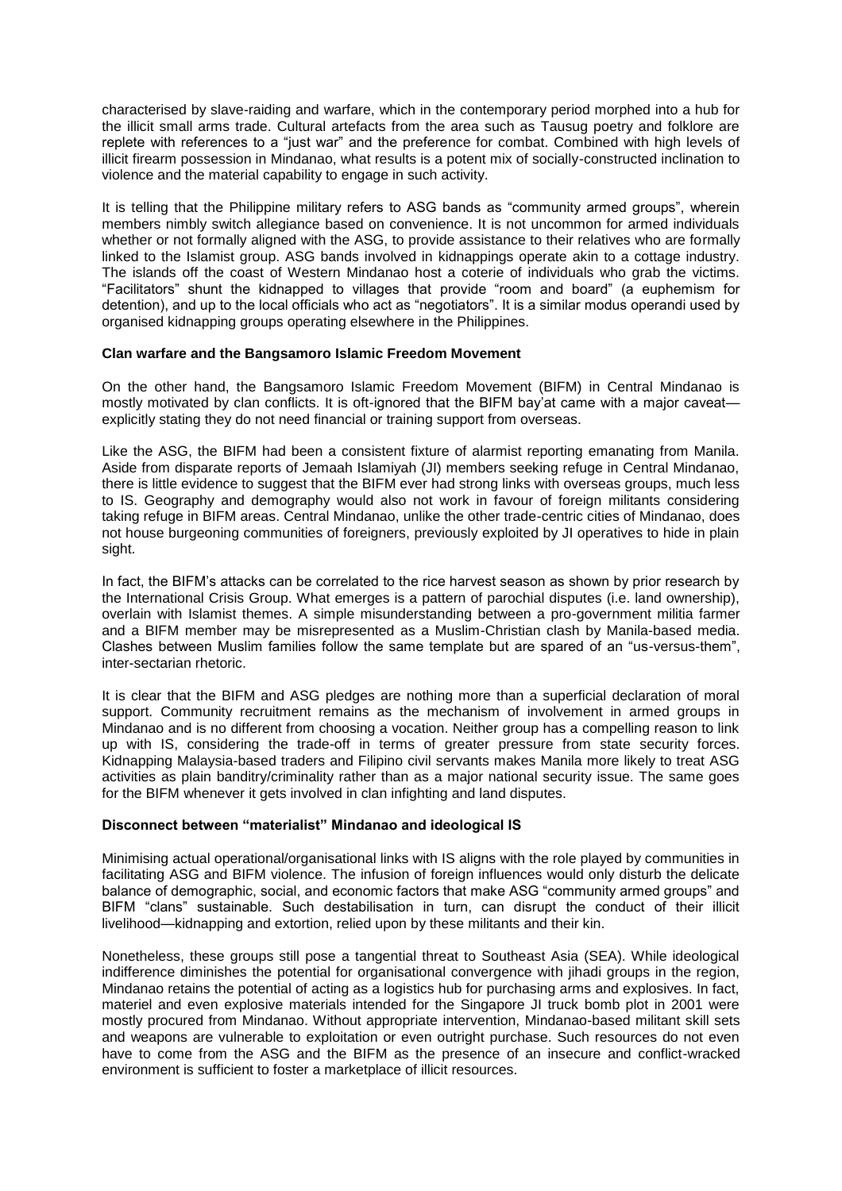characterised by slave-raiding and warfare, which in the contemporary period morphed into a hub for the illicit small arms trade. Cultural artefacts from the area such as Tausug poetry and folklore are replete with references to a "just war" and the preference for combat. Combined with high levels of illicit firearm possession in Mindanao, what results is a potent mix of socially-constructed inclination to violence and the material capability to engage in such activity.

It is telling that the Philippine military refers to ASG bands as "community armed groups", wherein members nimbly switch allegiance based on convenience. It is not uncommon for armed individuals whether or not formally aligned with the ASG, to provide assistance to their relatives who are formally linked to the Islamist group. ASG bands involved in kidnappings operate akin to a cottage industry. The islands off the coast of Western Mindanao host a coterie of individuals who grab the victims. "Facilitators" shunt the kidnapped to villages that provide "room and board" (a euphemism for detention), and up to the local officials who act as "negotiators". It is a similar modus operandi used by organised kidnapping groups operating elsewhere in the Philippines.

### **Clan warfare and the Bangsamoro Islamic Freedom Movement**

On the other hand, the Bangsamoro Islamic Freedom Movement (BIFM) in Central Mindanao is mostly motivated by clan conflicts. It is oft-ignored that the BIFM bay'at came with a major caveat explicitly stating they do not need financial or training support from overseas.

Like the ASG, the BIFM had been a consistent fixture of alarmist reporting emanating from Manila. Aside from disparate reports of Jemaah Islamiyah (JI) members seeking refuge in Central Mindanao, there is little evidence to suggest that the BIFM ever had strong links with overseas groups, much less to IS. Geography and demography would also not work in favour of foreign militants considering taking refuge in BIFM areas. Central Mindanao, unlike the other trade-centric cities of Mindanao, does not house burgeoning communities of foreigners, previously exploited by JI operatives to hide in plain sight.

In fact, the BIFM's attacks can be correlated to the rice harvest season as shown by prior research by the International Crisis Group. What emerges is a pattern of parochial disputes (i.e. land ownership), overlain with Islamist themes. A simple misunderstanding between a pro-government militia farmer and a BIFM member may be misrepresented as a Muslim-Christian clash by Manila-based media. Clashes between Muslim families follow the same template but are spared of an "us-versus-them", inter-sectarian rhetoric.

It is clear that the BIFM and ASG pledges are nothing more than a superficial declaration of moral support. Community recruitment remains as the mechanism of involvement in armed groups in Mindanao and is no different from choosing a vocation. Neither group has a compelling reason to link up with IS, considering the trade-off in terms of greater pressure from state security forces. Kidnapping Malaysia-based traders and Filipino civil servants makes Manila more likely to treat ASG activities as plain banditry/criminality rather than as a major national security issue. The same goes for the BIFM whenever it gets involved in clan infighting and land disputes.

### **Disconnect between "materialist" Mindanao and ideological IS**

Minimising actual operational/organisational links with IS aligns with the role played by communities in facilitating ASG and BIFM violence. The infusion of foreign influences would only disturb the delicate balance of demographic, social, and economic factors that make ASG "community armed groups" and BIFM "clans" sustainable. Such destabilisation in turn, can disrupt the conduct of their illicit livelihood—kidnapping and extortion, relied upon by these militants and their kin.

Nonetheless, these groups still pose a tangential threat to Southeast Asia (SEA). While ideological indifference diminishes the potential for organisational convergence with jihadi groups in the region, Mindanao retains the potential of acting as a logistics hub for purchasing arms and explosives. In fact, materiel and even explosive materials intended for the Singapore JI truck bomb plot in 2001 were mostly procured from Mindanao. Without appropriate intervention, Mindanao-based militant skill sets and weapons are vulnerable to exploitation or even outright purchase. Such resources do not even have to come from the ASG and the BIFM as the presence of an insecure and conflict-wracked environment is sufficient to foster a marketplace of illicit resources.